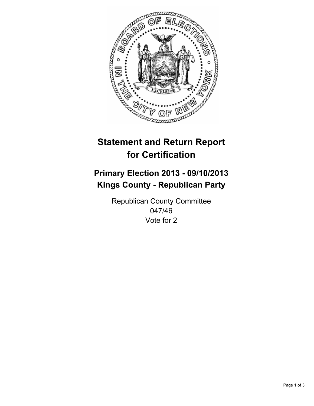

# **Statement and Return Report for Certification**

## **Primary Election 2013 - 09/10/2013 Kings County - Republican Party**

Republican County Committee 047/46 Vote for 2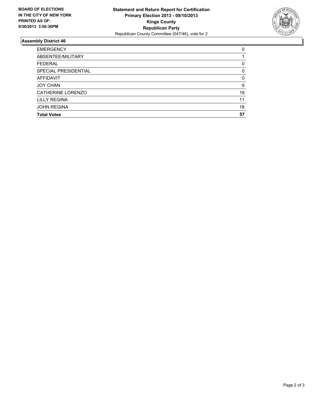

### **Assembly District 46**

| <b>EMERGENCY</b>     | 0        |
|----------------------|----------|
| ABSENTEE/MILITARY    |          |
| <b>FEDERAL</b>       | 0        |
| SPECIAL PRESIDENTIAL | 0        |
| <b>AFFIDAVIT</b>     | $\Omega$ |
| <b>JOY CHAN</b>      | 9        |
| CATHERINE LORENZO    | 19       |
| <b>LILLY REGINA</b>  | 11       |
| <b>JOHN REGINA</b>   | 18       |
| <b>Total Votes</b>   | 57       |
|                      |          |